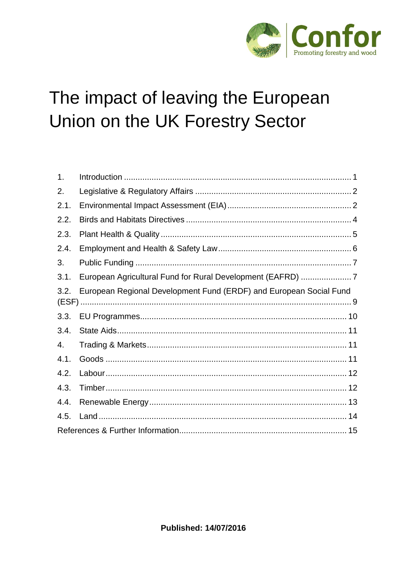

# The impact of leaving the European Union on the UK Forestry Sector

<span id="page-0-0"></span>

| 1.   |                                                                    |
|------|--------------------------------------------------------------------|
| 2.   |                                                                    |
| 2.1. |                                                                    |
| 2.2. |                                                                    |
| 2.3. |                                                                    |
| 2.4. |                                                                    |
| 3.   |                                                                    |
| 3.1. |                                                                    |
| 3.2. | European Regional Development Fund (ERDF) and European Social Fund |
| 3.3. |                                                                    |
| 3.4. |                                                                    |
| 4.   |                                                                    |
| 4.1. |                                                                    |
| 4.2. |                                                                    |
| 4.3. |                                                                    |
| 4.4. |                                                                    |
| 4.5. |                                                                    |
|      |                                                                    |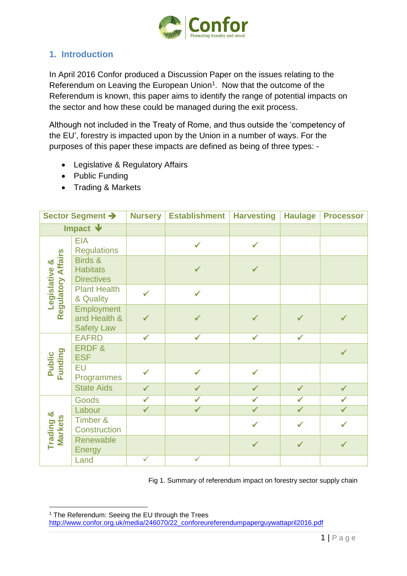

## **1. Introduction**

In April 2016 Confor produced a Discussion Paper on the issues relating to the Referendum on Leaving the European Union<sup>1</sup>. Now that the outcome of the Referendum is known, this paper aims to identify the range of potential impacts on the sector and how these could be managed during the exit process.

Although not included in the Treaty of Rome, and thus outside the 'competency of the EU', forestry is impacted upon by the Union in a number of ways. For the purposes of this paper these impacts are defined as being of three types: -

- Legislative & Regulatory Affairs
- Public Funding
- Trading & Markets

| Sector Segment >          |                                                        | <b>Nursery</b> | <b>Establishment</b> | <b>Harvesting</b> | <b>Haulage</b> | <b>Processor</b> |
|---------------------------|--------------------------------------------------------|----------------|----------------------|-------------------|----------------|------------------|
| Impact $\mathbf{\Psi}$    |                                                        |                |                      |                   |                |                  |
| egulatory Affairs<br>×්   | <b>EIA</b><br><b>Regulations</b>                       |                | $\checkmark$         | $\checkmark$      |                |                  |
|                           | Birds &<br><b>Habitats</b><br><b>Directives</b>        |                |                      |                   |                |                  |
| Legislative               | <b>Plant Health</b><br>& Quality                       | $\checkmark$   | $\checkmark$         |                   |                |                  |
| Ñ.                        | <b>Employment</b><br>and Health &<br><b>Safety Law</b> | ✔              |                      | $\checkmark$      |                | $\checkmark$     |
|                           | <b>EAFRD</b>                                           | $\checkmark$   | ✔                    |                   | ✓              |                  |
|                           | <b>ERDF&amp;</b><br><b>ESF</b>                         |                |                      |                   |                | $\checkmark$     |
| Funding<br>Public         | EU<br>Programmes                                       | $\checkmark$   |                      | $\checkmark$      |                |                  |
|                           | <b>State Aids</b>                                      | $\checkmark$   | $\checkmark$         | $\checkmark$      | $\checkmark$   | $\checkmark$     |
|                           | <b>Goods</b>                                           | $\checkmark$   |                      | $\checkmark$      | $\checkmark$   | $\checkmark$     |
| න්                        | Labour                                                 | $\checkmark$   | $\checkmark$         | $\checkmark$      | $\checkmark$   | $\checkmark$     |
| <b>Markets</b><br>Trading | Timber &<br>Construction                               |                |                      | $\checkmark$      | $\checkmark$   | $\checkmark$     |
|                           | Renewable<br><b>Energy</b>                             |                |                      | $\checkmark$      | $\checkmark$   | $\checkmark$     |
|                           | Land                                                   | $\checkmark$   | $\checkmark$         |                   |                |                  |

Fig 1. Summary of referendum impact on forestry sector supply chain

<span id="page-1-0"></span>1

<sup>1</sup> The Referendum: Seeing the EU through the Trees

[http://www.confor.org.uk/media/246070/22\\_conforeureferendumpaperguywattapril2016.pdf](http://www.confor.org.uk/media/246070/22_conforeureferendumpaperguywattapril2016.pdf)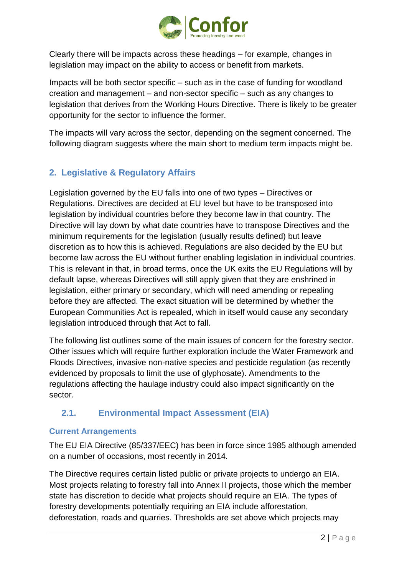

Clearly there will be impacts across these headings – for example, changes in legislation may impact on the ability to access or benefit from markets.

Impacts will be both sector specific – such as in the case of funding for woodland creation and management – and non-sector specific – such as any changes to legislation that derives from the Working Hours Directive. There is likely to be greater opportunity for the sector to influence the former.

The impacts will vary across the sector, depending on the segment concerned. The following diagram suggests where the main short to medium term impacts might be.

# **2. Legislative & Regulatory Affairs**

Legislation governed by the EU falls into one of two types – Directives or Regulations. Directives are decided at EU level but have to be transposed into legislation by individual countries before they become law in that country. The Directive will lay down by what date countries have to transpose Directives and the minimum requirements for the legislation (usually results defined) but leave discretion as to how this is achieved. Regulations are also decided by the EU but become law across the EU without further enabling legislation in individual countries. This is relevant in that, in broad terms, once the UK exits the EU Regulations will by default lapse, whereas Directives will still apply given that they are enshrined in legislation, either primary or secondary, which will need amending or repealing before they are affected. The exact situation will be determined by whether the European Communities Act is repealed, which in itself would cause any secondary legislation introduced through that Act to fall.

The following list outlines some of the main issues of concern for the forestry sector. Other issues which will require further exploration include the Water Framework and Floods Directives, invasive non-native species and pesticide regulation (as recently evidenced by proposals to limit the use of glyphosate). Amendments to the regulations affecting the haulage industry could also impact significantly on the sector.

## <span id="page-2-0"></span>**2.1. Environmental Impact Assessment (EIA)**

#### **Current Arrangements**

The EU EIA Directive (85/337/EEC) has been in force since 1985 although amended on a number of occasions, most recently in 2014.

The Directive requires certain listed public or private projects to undergo an EIA. Most projects relating to forestry fall into Annex II projects, those which the member state has discretion to decide what projects should require an EIA. The types of forestry developments potentially requiring an EIA include afforestation, deforestation, roads and quarries. Thresholds are set above which projects may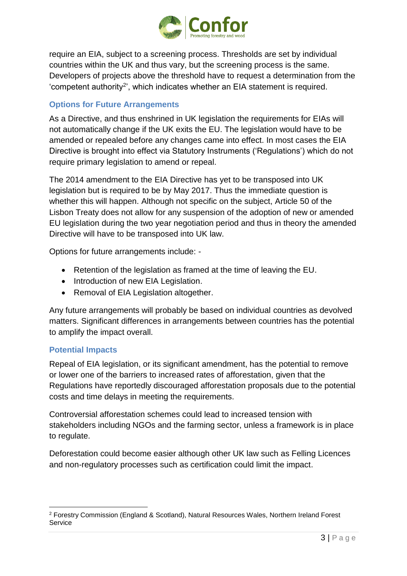

require an EIA, subject to a screening process. Thresholds are set by individual countries within the UK and thus vary, but the screening process is the same. Developers of projects above the threshold have to request a determination from the 'competent authority<sup>2</sup>', which indicates whether an EIA statement is required.

## **Options for Future Arrangements**

As a Directive, and thus enshrined in UK legislation the requirements for EIAs will not automatically change if the UK exits the EU. The legislation would have to be amended or repealed before any changes came into effect. In most cases the EIA Directive is brought into effect via Statutory Instruments ('Regulations') which do not require primary legislation to amend or repeal.

The 2014 amendment to the EIA Directive has yet to be transposed into UK legislation but is required to be by May 2017. Thus the immediate question is whether this will happen. Although not specific on the subject, Article 50 of the Lisbon Treaty does not allow for any suspension of the adoption of new or amended EU legislation during the two year negotiation period and thus in theory the amended Directive will have to be transposed into UK law.

Options for future arrangements include: -

- Retention of the legislation as framed at the time of leaving the EU.
- Introduction of new EIA Legislation.
- Removal of EIA Legislation altogether.

Any future arrangements will probably be based on individual countries as devolved matters. Significant differences in arrangements between countries has the potential to amplify the impact overall.

#### **Potential Impacts**

Repeal of EIA legislation, or its significant amendment, has the potential to remove or lower one of the barriers to increased rates of afforestation, given that the Regulations have reportedly discouraged afforestation proposals due to the potential costs and time delays in meeting the requirements.

Controversial afforestation schemes could lead to increased tension with stakeholders including NGOs and the farming sector, unless a framework is in place to regulate.

Deforestation could become easier although other UK law such as Felling Licences and non-regulatory processes such as certification could limit the impact.

<sup>1</sup> <sup>2</sup> Forestry Commission (England & Scotland), Natural Resources Wales, Northern Ireland Forest **Service**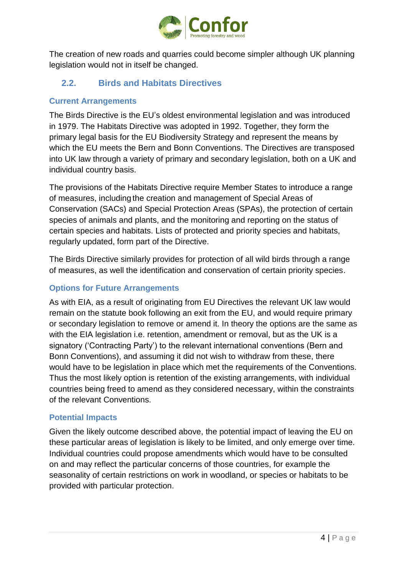

The creation of new roads and quarries could become simpler although UK planning legislation would not in itself be changed.

# <span id="page-4-0"></span>**2.2. Birds and Habitats Directives**

#### **Current Arrangements**

The Birds Directive is the EU's oldest environmental legislation and was introduced in 1979. The Habitats Directive was adopted in 1992. Together, they form the primary legal basis for the EU Biodiversity Strategy and represent the means by which the EU meets the Bern and Bonn Conventions. The Directives are transposed into UK law through a variety of primary and secondary legislation, both on a UK and individual country basis.

The provisions of the Habitats Directive require Member States to introduce a range of measures, including the creation and management of Special Areas of Conservation (SACs) and Special Protection Areas (SPAs), the protection of certain species of animals and plants, and the monitoring and reporting on the status of certain species and habitats. Lists of protected and priority species and habitats, regularly updated, form part of the Directive.

The Birds Directive similarly provides for protection of all wild birds through a range of measures, as well the identification and conservation of certain priority species.

## **Options for Future Arrangements**

As with EIA, as a result of originating from EU Directives the relevant UK law would remain on the statute book following an exit from the EU, and would require primary or secondary legislation to remove or amend it. In theory the options are the same as with the EIA legislation i.e. retention, amendment or removal, but as the UK is a signatory ('Contracting Party') to the relevant international conventions (Bern and Bonn Conventions), and assuming it did not wish to withdraw from these, there would have to be legislation in place which met the requirements of the Conventions. Thus the most likely option is retention of the existing arrangements, with individual countries being freed to amend as they considered necessary, within the constraints of the relevant Conventions.

#### **Potential Impacts**

Given the likely outcome described above, the potential impact of leaving the EU on these particular areas of legislation is likely to be limited, and only emerge over time. Individual countries could propose amendments which would have to be consulted on and may reflect the particular concerns of those countries, for example the seasonality of certain restrictions on work in woodland, or species or habitats to be provided with particular protection.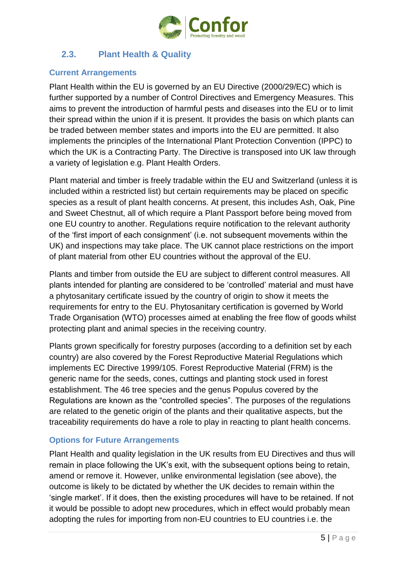

## <span id="page-5-0"></span>**2.3. Plant Health & Quality**

#### **Current Arrangements**

Plant Health within the EU is governed by an EU Directive (2000/29/EC) which is further supported by a number of Control Directives and Emergency Measures. This aims to prevent the introduction of harmful pests and diseases into the EU or to limit their spread within the union if it is present. It provides the basis on which plants can be traded between member states and imports into the EU are permitted. It also implements the principles of the International Plant Protection Convention (IPPC) to which the UK is a Contracting Party. The Directive is transposed into UK law through a variety of legislation e.g. Plant Health Orders.

Plant material and timber is freely tradable within the EU and Switzerland (unless it is included within a restricted list) but certain requirements may be placed on specific species as a result of plant health concerns. At present, this includes Ash, Oak, Pine and Sweet Chestnut, all of which require a Plant Passport before being moved from one EU country to another. Regulations require notification to the relevant authority of the 'first import of each consignment' (i.e. not subsequent movements within the UK) and inspections may take place. The UK cannot place restrictions on the import of plant material from other EU countries without the approval of the EU.

Plants and timber from outside the EU are subject to different control measures. All plants intended for planting are considered to be 'controlled' material and must have a phytosanitary certificate issued by the country of origin to show it meets the requirements for entry to the EU. Phytosanitary certification is governed by World Trade Organisation (WTO) processes aimed at enabling the free flow of goods whilst protecting plant and animal species in the receiving country.

Plants grown specifically for forestry purposes (according to a definition set by each country) are also covered by the Forest Reproductive Material Regulations which implements EC Directive 1999/105. Forest Reproductive Material (FRM) is the generic name for the seeds, cones, cuttings and planting stock used in forest establishment. The 46 tree species and the genus Populus covered by the Regulations are known as the "controlled species". The purposes of the regulations are related to the genetic origin of the plants and their qualitative aspects, but the traceability requirements do have a role to play in reacting to plant health concerns.

## **Options for Future Arrangements**

Plant Health and quality legislation in the UK results from EU Directives and thus will remain in place following the UK's exit, with the subsequent options being to retain, amend or remove it. However, unlike environmental legislation (see above), the outcome is likely to be dictated by whether the UK decides to remain within the 'single market'. If it does, then the existing procedures will have to be retained. If not it would be possible to adopt new procedures, which in effect would probably mean adopting the rules for importing from non-EU countries to EU countries i.e. the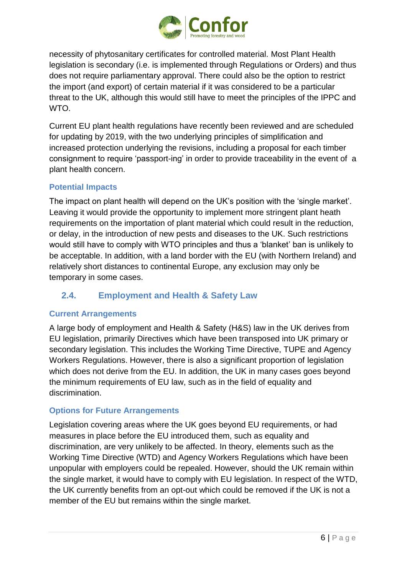

necessity of phytosanitary certificates for controlled material. Most Plant Health legislation is secondary (i.e. is implemented through Regulations or Orders) and thus does not require parliamentary approval. There could also be the option to restrict the import (and export) of certain material if it was considered to be a particular threat to the UK, although this would still have to meet the principles of the IPPC and WTO.

Current EU plant health regulations have recently been reviewed and are scheduled for updating by 2019, with the two underlying principles of simplification and increased protection underlying the revisions, including a proposal for each timber consignment to require 'passport-ing' in order to provide traceability in the event of a plant health concern.

### **Potential Impacts**

The impact on plant health will depend on the UK's position with the 'single market'. Leaving it would provide the opportunity to implement more stringent plant heath requirements on the importation of plant material which could result in the reduction, or delay, in the introduction of new pests and diseases to the UK. Such restrictions would still have to comply with WTO principles and thus a 'blanket' ban is unlikely to be acceptable. In addition, with a land border with the EU (with Northern Ireland) and relatively short distances to continental Europe, any exclusion may only be temporary in some cases.

## <span id="page-6-0"></span>**2.4. Employment and Health & Safety Law**

#### **Current Arrangements**

A large body of employment and Health & Safety (H&S) law in the UK derives from EU legislation, primarily Directives which have been transposed into UK primary or secondary legislation. This includes the Working Time Directive, TUPE and Agency Workers Regulations. However, there is also a significant proportion of legislation which does not derive from the EU. In addition, the UK in many cases goes beyond the minimum requirements of EU law, such as in the field of equality and discrimination.

#### **Options for Future Arrangements**

Legislation covering areas where the UK goes beyond EU requirements, or had measures in place before the EU introduced them, such as equality and discrimination, are very unlikely to be affected. In theory, elements such as the Working Time Directive (WTD) and Agency Workers Regulations which have been unpopular with employers could be repealed. However, should the UK remain within the single market, it would have to comply with EU legislation. In respect of the WTD, the UK currently benefits from an opt-out which could be removed if the UK is not a member of the EU but remains within the single market.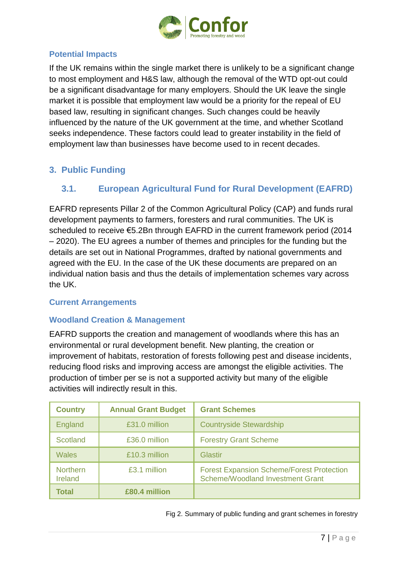

## **Potential Impacts**

If the UK remains within the single market there is unlikely to be a significant change to most employment and H&S law, although the removal of the WTD opt-out could be a significant disadvantage for many employers. Should the UK leave the single market it is possible that employment law would be a priority for the repeal of EU based law, resulting in significant changes. Such changes could be heavily influenced by the nature of the UK government at the time, and whether Scotland seeks independence. These factors could lead to greater instability in the field of employment law than businesses have become used to in recent decades.

# <span id="page-7-1"></span><span id="page-7-0"></span>**3. Public Funding**

## **3.1. European Agricultural Fund for Rural Development (EAFRD)**

EAFRD represents Pillar 2 of the Common Agricultural Policy (CAP) and funds rural development payments to farmers, foresters and rural communities. The UK is scheduled to receive €5.2Bn through EAFRD in the current framework period (2014 – 2020). The EU agrees a number of themes and principles for the funding but the details are set out in National Programmes, drafted by national governments and agreed with the EU. In the case of the UK these documents are prepared on an individual nation basis and thus the details of implementation schemes vary across the UK.

#### **Current Arrangements**

#### **Woodland Creation & Management**

EAFRD supports the creation and management of woodlands where this has an environmental or rural development benefit. New planting, the creation or improvement of habitats, restoration of forests following pest and disease incidents, reducing flood risks and improving access are amongst the eligible activities. The production of timber per se is not a supported activity but many of the eligible activities will indirectly result in this.

| <b>Country</b>             | <b>Annual Grant Budget</b> | <b>Grant Schemes</b>                                                                        |  |  |
|----------------------------|----------------------------|---------------------------------------------------------------------------------------------|--|--|
| England                    | £31.0 million              | <b>Countryside Stewardship</b>                                                              |  |  |
| <b>Scotland</b>            | £36.0 million              | <b>Forestry Grant Scheme</b>                                                                |  |  |
| <b>Wales</b>               | £10.3 million              | Glastir                                                                                     |  |  |
| <b>Northern</b><br>Ireland | £3.1 million               | <b>Forest Expansion Scheme/Forest Protection</b><br><b>Scheme/Woodland Investment Grant</b> |  |  |
| Total                      | £80.4 million              |                                                                                             |  |  |

Fig 2. Summary of public funding and grant schemes in forestry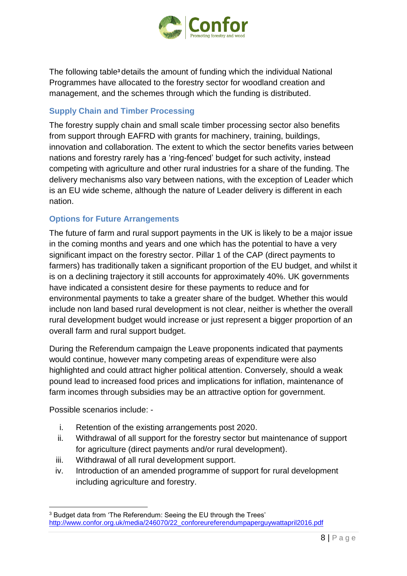

The following table**<sup>3</sup>** details the amount of funding which the individual National Programmes have allocated to the forestry sector for woodland creation and management, and the schemes through which the funding is distributed.

#### **Supply Chain and Timber Processing**

The forestry supply chain and small scale timber processing sector also benefits from support through EAFRD with grants for machinery, training, buildings, innovation and collaboration. The extent to which the sector benefits varies between nations and forestry rarely has a 'ring-fenced' budget for such activity, instead competing with agriculture and other rural industries for a share of the funding. The delivery mechanisms also vary between nations, with the exception of Leader which is an EU wide scheme, although the nature of Leader delivery is different in each nation.

### **Options for Future Arrangements**

The future of farm and rural support payments in the UK is likely to be a major issue in the coming months and years and one which has the potential to have a very significant impact on the forestry sector. Pillar 1 of the CAP (direct payments to farmers) has traditionally taken a significant proportion of the EU budget, and whilst it is on a declining trajectory it still accounts for approximately 40%. UK governments have indicated a consistent desire for these payments to reduce and for environmental payments to take a greater share of the budget. Whether this would include non land based rural development is not clear, neither is whether the overall rural development budget would increase or just represent a bigger proportion of an overall farm and rural support budget.

During the Referendum campaign the Leave proponents indicated that payments would continue, however many competing areas of expenditure were also highlighted and could attract higher political attention. Conversely, should a weak pound lead to increased food prices and implications for inflation, maintenance of farm incomes through subsidies may be an attractive option for government.

Possible scenarios include: -

1

- i. Retention of the existing arrangements post 2020.
- ii. Withdrawal of all support for the forestry sector but maintenance of support for agriculture (direct payments and/or rural development).
- iii. Withdrawal of all rural development support.
- iv. Introduction of an amended programme of support for rural development including agriculture and forestry.

<sup>3</sup> Budget data from 'The Referendum: Seeing the EU through the Trees' [http://www.confor.org.uk/media/246070/22\\_conforeureferendumpaperguywattapril2016.pdf](http://www.confor.org.uk/media/246070/22_conforeureferendumpaperguywattapril2016.pdf)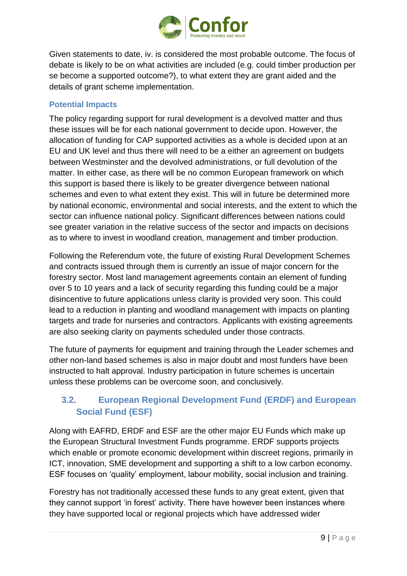

Given statements to date, iv. is considered the most probable outcome. The focus of debate is likely to be on what activities are included (e.g. could timber production per se become a supported outcome?), to what extent they are grant aided and the details of grant scheme implementation.

## **Potential Impacts**

The policy regarding support for rural development is a devolved matter and thus these issues will be for each national government to decide upon. However, the allocation of funding for CAP supported activities as a whole is decided upon at an EU and UK level and thus there will need to be a either an agreement on budgets between Westminster and the devolved administrations, or full devolution of the matter. In either case, as there will be no common European framework on which this support is based there is likely to be greater divergence between national schemes and even to what extent they exist. This will in future be determined more by national economic, environmental and social interests, and the extent to which the sector can influence national policy. Significant differences between nations could see greater variation in the relative success of the sector and impacts on decisions as to where to invest in woodland creation, management and timber production.

Following the Referendum vote, the future of existing Rural Development Schemes and contracts issued through them is currently an issue of major concern for the forestry sector. Most land management agreements contain an element of funding over 5 to 10 years and a lack of security regarding this funding could be a major disincentive to future applications unless clarity is provided very soon. This could lead to a reduction in planting and woodland management with impacts on planting targets and trade for nurseries and contractors. Applicants with existing agreements are also seeking clarity on payments scheduled under those contracts.

The future of payments for equipment and training through the Leader schemes and other non-land based schemes is also in major doubt and most funders have been instructed to halt approval. Industry participation in future schemes is uncertain unless these problems can be overcome soon, and conclusively.

## <span id="page-9-0"></span>**3.2. European Regional Development Fund (ERDF) and European Social Fund (ESF)**

Along with EAFRD, ERDF and ESF are the other major EU Funds which make up the European Structural Investment Funds programme. ERDF supports projects which enable or promote economic development within discreet regions, primarily in ICT, innovation, SME development and supporting a shift to a low carbon economy. ESF focuses on 'quality' employment, labour mobility, social inclusion and training.

Forestry has not traditionally accessed these funds to any great extent, given that they cannot support 'in forest' activity. There have however been instances where they have supported local or regional projects which have addressed wider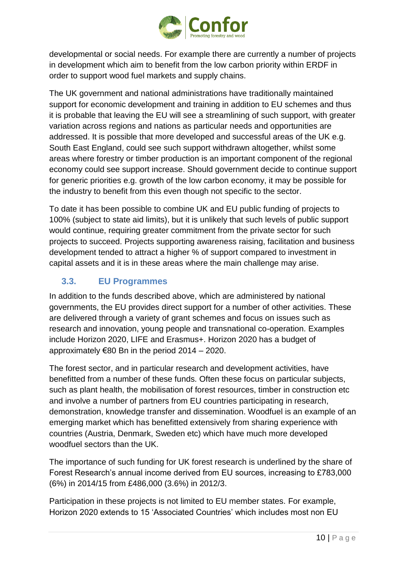

developmental or social needs. For example there are currently a number of projects in development which aim to benefit from the low carbon priority within ERDF in order to support wood fuel markets and supply chains.

The UK government and national administrations have traditionally maintained support for economic development and training in addition to EU schemes and thus it is probable that leaving the EU will see a streamlining of such support, with greater variation across regions and nations as particular needs and opportunities are addressed. It is possible that more developed and successful areas of the UK e.g. South East England, could see such support withdrawn altogether, whilst some areas where forestry or timber production is an important component of the regional economy could see support increase. Should government decide to continue support for generic priorities e.g. growth of the low carbon economy, it may be possible for the industry to benefit from this even though not specific to the sector.

To date it has been possible to combine UK and EU public funding of projects to 100% (subject to state aid limits), but it is unlikely that such levels of public support would continue, requiring greater commitment from the private sector for such projects to succeed. Projects supporting awareness raising, facilitation and business development tended to attract a higher % of support compared to investment in capital assets and it is in these areas where the main challenge may arise.

# <span id="page-10-0"></span>**3.3. EU Programmes**

In addition to the funds described above, which are administered by national governments, the EU provides direct support for a number of other activities. These are delivered through a variety of grant schemes and focus on issues such as research and innovation, young people and transnational co-operation. Examples include Horizon 2020, LIFE and Erasmus+. Horizon 2020 has a budget of approximately  $€80$  Bn in the period  $2014 - 2020$ .

The forest sector, and in particular research and development activities, have benefitted from a number of these funds. Often these focus on particular subjects, such as plant health, the mobilisation of forest resources, timber in construction etc and involve a number of partners from EU countries participating in research, demonstration, knowledge transfer and dissemination. Woodfuel is an example of an emerging market which has benefitted extensively from sharing experience with countries (Austria, Denmark, Sweden etc) which have much more developed woodfuel sectors than the UK.

The importance of such funding for UK forest research is underlined by the share of Forest Research's annual income derived from EU sources, increasing to £783,000 (6%) in 2014/15 from £486,000 (3.6%) in 2012/3.

Participation in these projects is not limited to EU member states. For example, Horizon 2020 extends to 15 'Associated Countries' which includes most non EU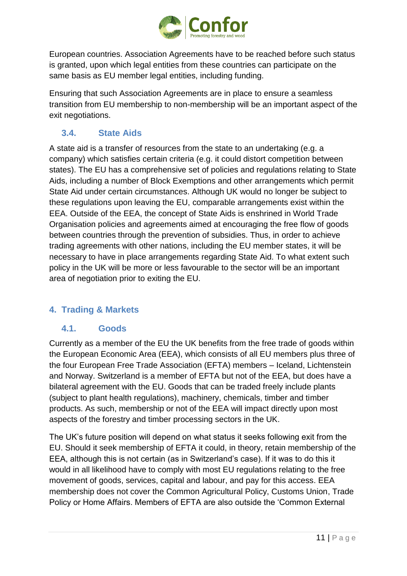

European countries. Association Agreements have to be reached before such status is granted, upon which legal entities from these countries can participate on the same basis as EU member legal entities, including funding.

Ensuring that such Association Agreements are in place to ensure a seamless transition from EU membership to non-membership will be an important aspect of the exit negotiations.

# <span id="page-11-0"></span>**3.4. State Aids**

A state aid is a transfer of resources from the state to an undertaking (e.g. a company) which satisfies certain criteria (e.g. it could distort competition between states). The EU has a comprehensive set of policies and regulations relating to State Aids, including a number of Block Exemptions and other arrangements which permit State Aid under certain circumstances. Although UK would no longer be subject to these regulations upon leaving the EU, comparable arrangements exist within the EEA. Outside of the EEA, the concept of State Aids is enshrined in World Trade Organisation policies and agreements aimed at encouraging the free flow of goods between countries through the prevention of subsidies. Thus, in order to achieve trading agreements with other nations, including the EU member states, it will be necessary to have in place arrangements regarding State Aid. To what extent such policy in the UK will be more or less favourable to the sector will be an important area of negotiation prior to exiting the EU.

## <span id="page-11-2"></span><span id="page-11-1"></span>**4. Trading & Markets**

## **4.1. Goods**

Currently as a member of the EU the UK benefits from the free trade of goods within the European Economic Area (EEA), which consists of all EU members plus three of the four European Free Trade Association (EFTA) members – Iceland, Lichtenstein and Norway. Switzerland is a member of EFTA but not of the EEA, but does have a bilateral agreement with the EU. Goods that can be traded freely include plants (subject to plant health regulations), machinery, chemicals, timber and timber products. As such, membership or not of the EEA will impact directly upon most aspects of the forestry and timber processing sectors in the UK.

The UK's future position will depend on what status it seeks following exit from the EU. Should it seek membership of EFTA it could, in theory, retain membership of the EEA, although this is not certain (as in Switzerland's case). If it was to do this it would in all likelihood have to comply with most EU regulations relating to the free movement of goods, services, capital and labour, and pay for this access. EEA membership does not cover the Common Agricultural Policy, Customs Union, Trade Policy or Home Affairs. Members of EFTA are also outside the 'Common External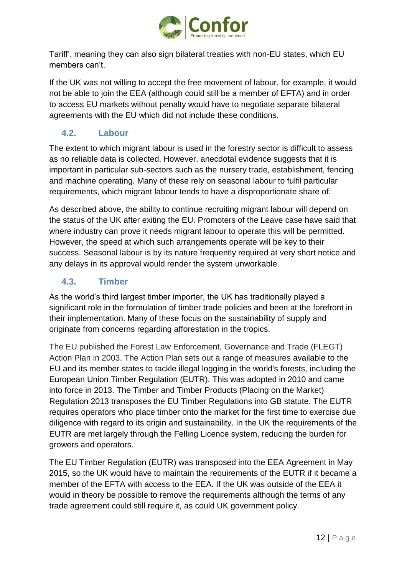

Tariff', meaning they can also sign bilateral treaties with non-EU states, which EU members can't.

If the UK was not willing to accept the free movement of labour, for example, it would not be able to join the EEA (although could still be a member of EFTA) and in order to access EU markets without penalty would have to negotiate separate bilateral agreements with the EU which did not include these conditions.

## <span id="page-12-0"></span>**4.2. Labour**

The extent to which migrant labour is used in the forestry sector is difficult to assess as no reliable data is collected. However, anecdotal evidence suggests that it is important in particular sub-sectors such as the nursery trade, establishment, fencing and machine operating. Many of these rely on seasonal labour to fulfil particular requirements, which migrant labour tends to have a disproportionate share of.

As described above, the ability to continue recruiting migrant labour will depend on the status of the UK after exiting the EU. Promoters of the Leave case have said that where industry can prove it needs migrant labour to operate this will be permitted. However, the speed at which such arrangements operate will be key to their success. Seasonal labour is by its nature frequently required at very short notice and any delays in its approval would render the system unworkable.

## <span id="page-12-1"></span>**4.3. Timber**

As the world's third largest timber importer, the UK has traditionally played a significant role in the formulation of timber trade policies and been at the forefront in their implementation. Many of these focus on the sustainability of supply and originate from concerns regarding afforestation in the tropics.

The EU published the Forest Law Enforcement, Governance and Trade (FLEGT) Action Plan in 2003. The Action Plan sets out a range of measures available to the EU and its member states to tackle illegal logging in the world's forests, including the European Union Timber Regulation (EUTR). This was adopted in 2010 and came into force in 2013. The Timber and Timber Products (Placing on the Market) Regulation 2013 transposes the EU Timber Regulations into GB statute. The EUTR requires operators who place timber onto the market for the first time to exercise due diligence with regard to its origin and sustainability. In the UK the requirements of the EUTR are met largely through the Felling Licence system, reducing the burden for growers and operators.

The EU Timber Regulation (EUTR) was transposed into the EEA Agreement in May 2015, so the UK would have to maintain the requirements of the EUTR if it became a member of the EFTA with access to the EEA. If the UK was outside of the EEA it would in theory be possible to remove the requirements although the terms of any trade agreement could still require it, as could UK government policy.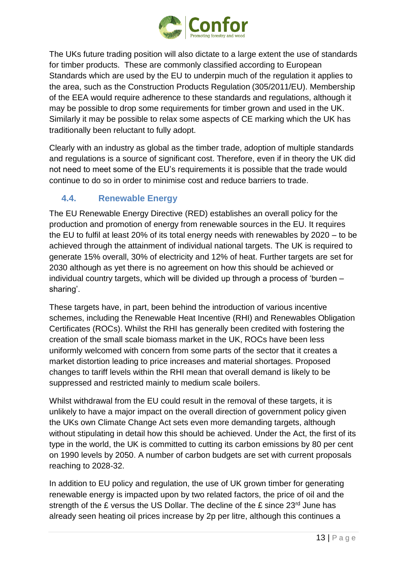

The UKs future trading position will also dictate to a large extent the use of standards for timber products. These are commonly classified according to European Standards which are used by the EU to underpin much of the regulation it applies to the area, such as the Construction Products Regulation (305/2011/EU). Membership of the EEA would require adherence to these standards and regulations, although it may be possible to drop some requirements for timber grown and used in the UK. Similarly it may be possible to relax some aspects of CE marking which the UK has traditionally been reluctant to fully adopt.

Clearly with an industry as global as the timber trade, adoption of multiple standards and regulations is a source of significant cost. Therefore, even if in theory the UK did not need to meet some of the EU's requirements it is possible that the trade would continue to do so in order to minimise cost and reduce barriers to trade.

## <span id="page-13-0"></span>**4.4. Renewable Energy**

The EU Renewable [Energy Directive](http://eur-lex.europa.eu/legal-content/EN/ALL/?uri=CELEX:32009L0028) (RED) establishes an overall policy for the production and promotion of energy from renewable sources in the EU. It requires the EU to fulfil at least 20% of its total energy needs with renewables by 2020 – to be achieved through the attainment of individual national targets. The UK is required to generate 15% overall, 30% of electricity and 12% of heat. Further targets are set for 2030 although as yet there is no agreement on how this should be achieved or individual country targets, which will be divided up through a process of 'burden – sharing'.

These targets have, in part, been behind the introduction of various incentive schemes, including the Renewable Heat Incentive (RHI) and Renewables Obligation Certificates (ROCs). Whilst the RHI has generally been credited with fostering the creation of the small scale biomass market in the UK, ROCs have been less uniformly welcomed with concern from some parts of the sector that it creates a market distortion leading to price increases and material shortages. Proposed changes to tariff levels within the RHI mean that overall demand is likely to be suppressed and restricted mainly to medium scale boilers.

Whilst withdrawal from the EU could result in the removal of these targets, it is unlikely to have a major impact on the overall direction of government policy given the UKs own Climate Change Act sets even more demanding targets, although without stipulating in detail how this should be achieved. Under the Act, the first of its type in the world, the UK is committed to cutting its carbon emissions by 80 per cent on 1990 levels by 2050. A number of carbon budgets are set with current proposals reaching to 2028-32.

In addition to EU policy and regulation, the use of UK grown timber for generating renewable energy is impacted upon by two related factors, the price of oil and the strength of the £ versus the US Dollar. The decline of the £ since 23<sup>rd</sup> June has already seen heating oil prices increase by 2p per litre, although this continues a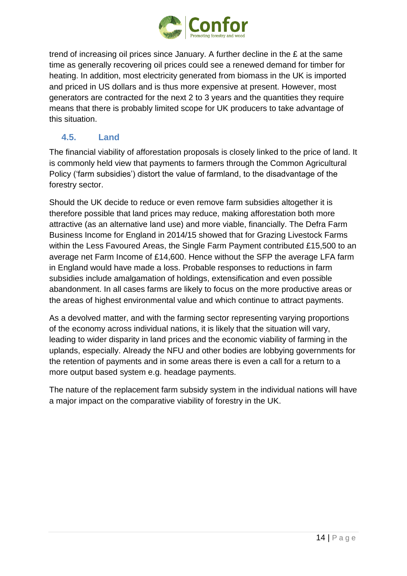

trend of increasing oil prices since January. A further decline in the £ at the same time as generally recovering oil prices could see a renewed demand for timber for heating. In addition, most electricity generated from biomass in the UK is imported and priced in US dollars and is thus more expensive at present. However, most generators are contracted for the next 2 to 3 years and the quantities they require means that there is probably limited scope for UK producers to take advantage of this situation.

## <span id="page-14-0"></span>**4.5. Land**

The financial viability of afforestation proposals is closely linked to the price of land. It is commonly held view that payments to farmers through the Common Agricultural Policy ('farm subsidies') distort the value of farmland, to the disadvantage of the forestry sector.

Should the UK decide to reduce or even remove farm subsidies altogether it is therefore possible that land prices may reduce, making afforestation both more attractive (as an alternative land use) and more viable, financially. The Defra Farm Business Income for England in 2014/15 showed that for Grazing Livestock Farms within the Less Favoured Areas, the Single Farm Payment contributed £15,500 to an average net Farm Income of £14,600. Hence without the SFP the average LFA farm in England would have made a loss. Probable responses to reductions in farm subsidies include amalgamation of holdings, extensification and even possible abandonment. In all cases farms are likely to focus on the more productive areas or the areas of highest environmental value and which continue to attract payments.

As a devolved matter, and with the farming sector representing varying proportions of the economy across individual nations, it is likely that the situation will vary, leading to wider disparity in land prices and the economic viability of farming in the uplands, especially. Already the NFU and other bodies are lobbying governments for the retention of payments and in some areas there is even a call for a return to a more output based system e.g. headage payments.

The nature of the replacement farm subsidy system in the individual nations will have a major impact on the comparative viability of forestry in the UK.